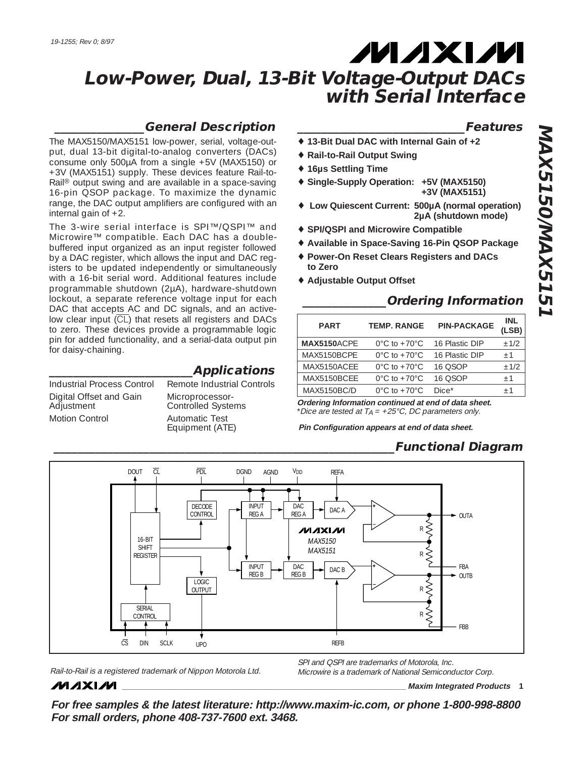# **MAXM**

# **Low-Power, Dual, 13-Bit Voltage-Output DACs with Serial Interface**

### **\_\_\_\_\_\_\_\_\_\_\_\_\_\_\_General Description**

The MAX5150/MAX5151 low-power, serial, voltage-output, dual 13-bit digital-to-analog converters (DACs) consume only 500µA from a single +5V (MAX5150) or +3V (MAX5151) supply. These devices feature Rail-to-Rail® output swing and are available in a space-saving 16-pin QSOP package. To maximize the dynamic range, the DAC output amplifiers are configured with an internal gain of  $+2$ .

The 3-wire serial interface is SPI™/QSPI™ and Microwire™ compatible. Each DAC has a doublebuffered input organized as an input register followed by a DAC register, which allows the input and DAC registers to be updated independently or simultaneously with a 16-bit serial word. Additional features include programmable shutdown (2µA), hardware-shutdown lockout, a separate reference voltage input for each DAC that accepts AC and DC signals, and an activelow clear input (CL) that resets all registers and DACs to zero. These devices provide a programmable logic pin for added functionality, and a serial-data output pin for daisy-chaining.

Industrial Process Control Remote Industrial Controls Digital Offset and Gain Microprocessor-<br>Adjustment Controlled Syste Motion Control **Automatic Test** 

Controlled Systems Equipment (ATE)

**\_\_\_\_\_\_\_\_\_\_\_\_\_\_\_\_\_\_\_\_\_\_\_\_Applications**

### **\_\_\_\_\_\_\_\_\_\_\_\_\_\_\_\_\_\_\_\_\_\_\_\_\_\_\_\_Features**

- ♦ **13-Bit Dual DAC with Internal Gain of +2**
- ♦ **Rail-to-Rail Output Swing**
- ♦ **16µs Settling Time**
- ♦ **Single-Supply Operation: +5V (MAX5150) +3V (MAX5151)**
- ♦ **Low Quiescent Current: 500µA (normal operation) 2µA (shutdown mode)**
- ♦ **SPI/QSPI and Microwire Compatible**
- ♦ **Available in Space-Saving 16-Pin QSOP Package**
- ♦ **Power-On Reset Clears Registers and DACs to Zero**
- ♦ **Adjustable Output Offset**

### **\_\_\_\_\_\_\_\_\_\_\_\_\_\_Ordering Information**

| <b>PART</b>        | <b>TEMP, RANGE</b>                 | <b>PIN-PACKAGE</b> | INL<br>(LSB) |
|--------------------|------------------------------------|--------------------|--------------|
| <b>MAX5150ACPE</b> | $0^{\circ}$ C to +70 $^{\circ}$ C  | 16 Plastic DIP     | $+1/2$       |
| MAX5150BCPF        | $0^{\circ}$ C to +70 $^{\circ}$ C  | 16 Plastic DIP     | $+1$         |
| MAX5150ACEE        | $0^{\circ}$ C to $+70^{\circ}$ C   | 16 OSOP            | $+1/2$       |
| MAX5150BCFF        | $0^{\circ}$ C to $+70^{\circ}$ C   | 16 OSOP            | $+1$         |
| <b>MAX5150BC/D</b> | $0^{\circ}$ C to +70 $^{\circ}$ C. | Dice*              | $+1$         |

**Ordering Information continued at end of data sheet.** \*Dice are tested at  $T_A = +25$ °C, DC parameters only.

**Pin Configuration appears at end of data sheet.**

# **\_\_\_\_\_\_\_\_\_\_\_\_\_\_\_\_\_\_\_\_\_\_\_\_\_\_\_\_\_\_\_\_\_\_\_\_\_\_\_\_\_\_\_\_\_\_\_\_\_\_\_\_\_\_\_\_\_Functional Diagram**



Rail-to-Rail is a registered trademark of Nippon Motorola Ltd.

SPI and QSPI are trademarks of Motorola, Inc. Microwire is a trademark of National Semiconductor Corp.

# **MAXIM**

**\_\_\_\_\_\_\_\_\_\_\_\_\_\_\_\_\_\_\_\_\_\_\_\_\_\_\_\_\_\_\_\_\_\_\_\_\_\_\_\_\_\_\_\_\_\_\_\_\_\_\_\_\_\_\_\_\_\_\_\_\_\_\_\_ Maxim Integrated Products 1**

**For free samples & the latest literature: http://www.maxim-ic.com, or phone 1-800-998-8800 For small orders, phone 408-737-7600 ext. 3468.**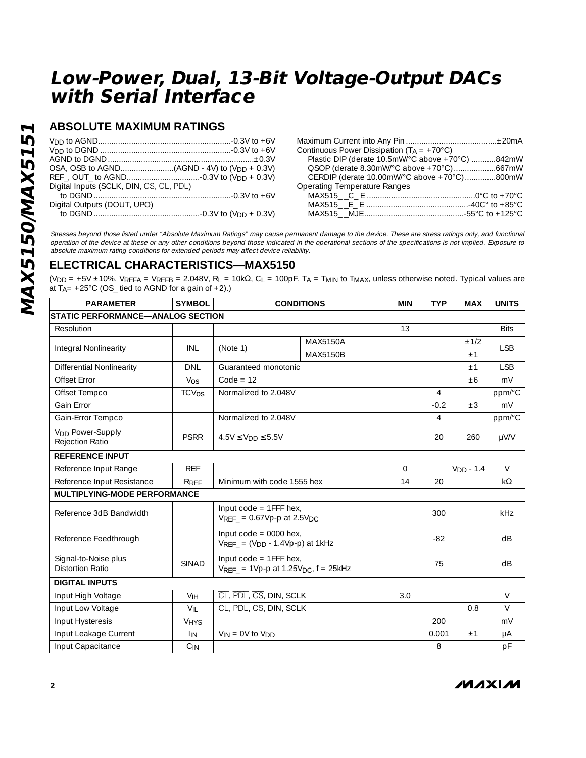### **ABSOLUTE MAXIMUM RATINGS**

| Digital Inputs (SCLK, DIN, CS, CL, PDL) |
|-----------------------------------------|
|                                         |
| Digital Outputs (DOUT, UPO)             |
|                                         |

| Plastic DIP (derate 10.5mW/°C above +70°C) 842mW |
|--------------------------------------------------|
| QSOP (derate 8.30mW/°C above +70°C)667mW         |
| CERDIP (derate $10.00$ mW/°C above +70°C)800mW   |
|                                                  |
|                                                  |
|                                                  |
|                                                  |
|                                                  |

Stresses beyond those listed under "Absolute Maximum Ratings" may cause permanent damage to the device. These are stress ratings only, and functional operation of the device at these or any other conditions beyond those indicated in the operational sections of the specifications is not implied. Exposure to absolute maximum rating conditions for extended periods may affect device reliability.

#### **ELECTRICAL CHARACTERISTICS—MAX5150**

(V<sub>DD</sub> = +5V ±10%, V<sub>REFA</sub> = V<sub>REFB</sub> = 2.048V, R<sub>L</sub> = 10k $\Omega$ , C<sub>L</sub> = 100pF, T<sub>A</sub> = T<sub>MIN</sub> to T<sub>MAX</sub>, unless otherwise noted. Typical values are at  $T_{A}$ = +25°C (OS\_tied to AGND for a gain of +2).)

| <b>PARAMETER</b>                                       | <b>SYMBOL</b>           | <b>CONDITIONS</b>                                                      |                                                                                    | <b>MIN</b> | <b>TYP</b> | <b>MAX</b>  | <b>UNITS</b> |
|--------------------------------------------------------|-------------------------|------------------------------------------------------------------------|------------------------------------------------------------------------------------|------------|------------|-------------|--------------|
| <b>STATIC PERFORMANCE-ANALOG SECTION</b>               |                         |                                                                        |                                                                                    |            |            |             |              |
| Resolution                                             |                         |                                                                        |                                                                                    | 13         |            |             | <b>Bits</b>  |
| Integral Nonlinearity                                  | INL                     | (Note 1)                                                               | <b>MAX5150A</b>                                                                    |            |            | ±1/2        | <b>LSB</b>   |
|                                                        |                         |                                                                        | MAX5150B                                                                           |            |            | ±1          |              |
| <b>Differential Nonlinearity</b>                       | <b>DNL</b>              | Guaranteed monotonic                                                   |                                                                                    |            |            | ±1          | <b>LSB</b>   |
| Offset Error                                           | $V_{OS}$                | $Code = 12$                                                            |                                                                                    |            |            | ±6          | mV           |
| Offset Tempco                                          | <b>TCV<sub>OS</sub></b> | Normalized to 2.048V                                                   |                                                                                    |            | 4          |             | ppm/°C       |
| Gain Error                                             |                         |                                                                        |                                                                                    |            | $-0.2$     | $\pm 3$     | mV           |
| Gain-Error Tempco                                      |                         | Normalized to 2.048V                                                   |                                                                                    |            | 4          |             | ppm/°C       |
| V <sub>DD</sub> Power-Supply<br><b>Rejection Ratio</b> | <b>PSRR</b>             | $4.5V \le V_{DD} \le 5.5V$                                             |                                                                                    |            | 20         | 260         | µV/V         |
| <b>REFERENCE INPUT</b>                                 |                         |                                                                        |                                                                                    |            |            |             |              |
| Reference Input Range                                  | <b>REF</b>              |                                                                        |                                                                                    | $\Omega$   |            | $VDD - 1.4$ | $\vee$       |
| Reference Input Resistance                             | R <sub>REF</sub>        | Minimum with code 1555 hex                                             |                                                                                    | 14         | 20         |             | $k\Omega$    |
| <b>MULTIPLYING-MODE PERFORMANCE</b>                    |                         |                                                                        |                                                                                    |            |            |             |              |
| Reference 3dB Bandwidth                                |                         | Input $code = 1FFF$ hex,<br>$V_{REF}$ = 0.67Vp-p at 2.5V <sub>DC</sub> |                                                                                    |            | 300        |             | kHz          |
| Reference Feedthrough                                  |                         | Input $code = 0000$ hex,<br>$V_{REF} = (V_{DD} - 1.4Vp-p)$ at 1kHz     |                                                                                    |            | $-82$      |             | dB           |
| Signal-to-Noise plus<br><b>Distortion Ratio</b>        | <b>SINAD</b>            |                                                                        | Input $code = 1FFF$ hex,<br>$V_{REF}$ = 1Vp-p at 1.25V <sub>DC</sub> , $f = 25kHz$ |            | 75         |             | dB           |
| <b>DIGITAL INPUTS</b>                                  |                         |                                                                        |                                                                                    |            |            |             |              |
| Input High Voltage                                     | V <sub>IH</sub>         | CL, PDL, CS, DIN, SCLK                                                 |                                                                                    | 3.0        |            |             | $\vee$       |
| Input Low Voltage                                      | $V_{\text{II}}$         | CL, PDL, CS, DIN, SCLK                                                 |                                                                                    |            |            | 0.8         | $\vee$       |
| Input Hysteresis                                       | <b>VHYS</b>             |                                                                        |                                                                                    |            | 200        |             | mV           |
| Input Leakage Current                                  | <b>IIN</b>              | $V_{IN} = 0V$ to $V_{DD}$                                              |                                                                                    |            |            | ±1          | μA           |
| Input Capacitance                                      | $C_{IN}$                |                                                                        |                                                                                    |            | 8          |             | pF           |

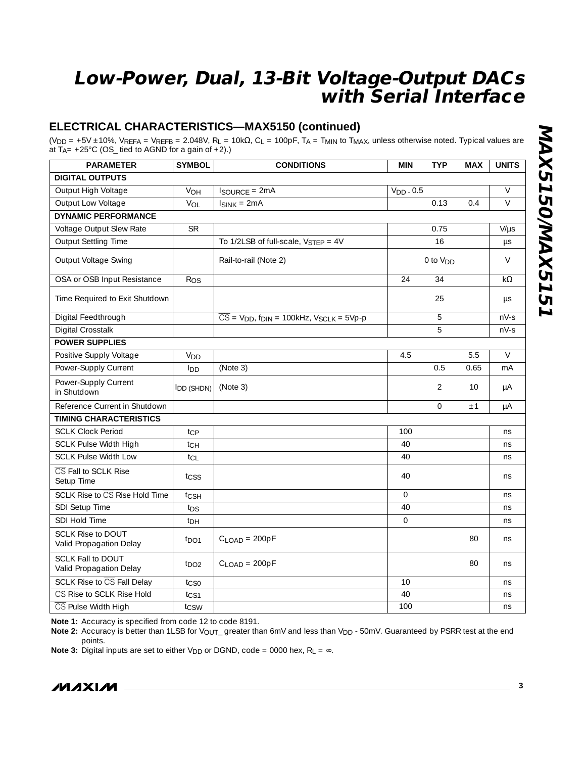### **ELECTRICAL CHARACTERISTICS—MAX5150 (continued)**

(VDD = +5V ±10%, VREFA = VREFB = 2.048V, RL = 10kΩ, CL = 100pF, TA = TMIN to TMAX, unless otherwise noted. Typical values are at T<sub>A</sub>= +25°C (OS\_ tied to AGND for a gain of +2).)

| <b>PARAMETER</b>                                    | <b>SYMBOL</b>     | <b>CONDITIONS</b>                                                                        | <b>MIN</b>  | <b>TYP</b>           | <b>MAX</b> | <b>UNITS</b> |
|-----------------------------------------------------|-------------------|------------------------------------------------------------------------------------------|-------------|----------------------|------------|--------------|
| <b>DIGITAL OUTPUTS</b>                              |                   |                                                                                          |             |                      |            |              |
| Output High Voltage                                 | VOH               | <b>ISOURCE = 2mA</b>                                                                     | $VDD$ . 0.5 |                      |            | $\vee$       |
| Output Low Voltage                                  | $V_{OL}$          | $I_{SINK} = 2mA$                                                                         |             | 0.13                 | 0.4        | $\vee$       |
| <b>DYNAMIC PERFORMANCE</b>                          |                   |                                                                                          |             |                      |            |              |
| Voltage Output Slew Rate                            | <b>SR</b>         |                                                                                          |             | 0.75                 |            | $V/\mu s$    |
| <b>Output Settling Time</b>                         |                   | To $1/2LSB$ of full-scale, $V_{STFP} = 4V$                                               |             | 16                   |            | $\mu s$      |
| Output Voltage Swing                                |                   | Rail-to-rail (Note 2)                                                                    |             | 0 to V <sub>DD</sub> |            | $\vee$       |
| OSA or OSB Input Resistance                         | Ros               |                                                                                          | 24          | 34                   |            | kΩ           |
| Time Required to Exit Shutdown                      |                   |                                                                                          |             | 25                   |            | μs           |
| Digital Feedthrough                                 |                   | $\overline{CS}$ = V <sub>DD</sub> , f <sub>DIN</sub> = 100kHz, V <sub>SCLK</sub> = 5Vp-p |             | 5                    |            | $nV-S$       |
| Digital Crosstalk                                   |                   |                                                                                          |             | 5                    |            | $nV-S$       |
| <b>POWER SUPPLIES</b>                               |                   |                                                                                          |             |                      |            |              |
| Positive Supply Voltage                             | V <sub>DD</sub>   |                                                                                          | 4.5         |                      | 5.5        | $\vee$       |
| Power-Supply Current                                | l <sub>DD</sub>   | (Note 3)                                                                                 |             | 0.5                  | 0.65       | mA           |
| Power-Supply Current<br>in Shutdown                 | <b>IDD (SHDN)</b> | (Note 3)                                                                                 |             | $\overline{2}$       | 10         | μA           |
| Reference Current in Shutdown                       |                   |                                                                                          |             | $\Omega$             | ±1         | μA           |
| <b>TIMING CHARACTERISTICS</b>                       |                   |                                                                                          |             |                      |            |              |
| <b>SCLK Clock Period</b>                            | tcp               |                                                                                          | 100         |                      |            | ns           |
| <b>SCLK Pulse Width High</b>                        | $t_{CH}$          |                                                                                          | 40          |                      |            | ns           |
| <b>SCLK Pulse Width Low</b>                         | $t_{CL}$          |                                                                                          | 40          |                      |            | ns           |
| CS Fall to SCLK Rise<br>Setup Time                  | tcss              |                                                                                          | 40          |                      |            | ns           |
| SCLK Rise to CS Rise Hold Time                      | tcsh              |                                                                                          | $\Omega$    |                      |            | ns           |
| SDI Setup Time                                      | t <sub>DS</sub>   |                                                                                          | 40          |                      |            | ns           |
| SDI Hold Time                                       | t <sub>DH</sub>   |                                                                                          | $\mathbf 0$ |                      |            | ns           |
| <b>SCLK Rise to DOUT</b><br>Valid Propagation Delay | $t_{\text{DO1}}$  | $C$ <sub>LOAD</sub> = 200pF                                                              |             |                      | 80         | ns           |
| <b>SCLK Fall to DOUT</b><br>Valid Propagation Delay | $t_{DO2}$         | $C$ <sub>LOAD</sub> = 200pF                                                              |             |                      | 80         | ns           |
| <b>SCLK Rise to CS Fall Delay</b>                   | tcso              |                                                                                          | 10          |                      |            | ns           |
| CS Rise to SCLK Rise Hold                           | $t_{CS1}$         |                                                                                          | 40          |                      |            | ns           |
| CS Pulse Width High                                 | t <sub>CSW</sub>  |                                                                                          | 100         |                      |            | ns           |

**Note 1:** Accuracy is specified from code 12 to code 8191.

Note 2: Accuracy is better than 1LSB for V<sub>OUT\_</sub> greater than 6mV and less than V<sub>DD</sub> - 50mV. Guaranteed by PSRR test at the end points.

**Note 3:** Digital inputs are set to either V<sub>DD</sub> or DGND, code = 0000 hex,  $R_L = \infty$ .

$$
\boldsymbol{M}\boldsymbol{\mathcal{X}}\boldsymbol{M}
$$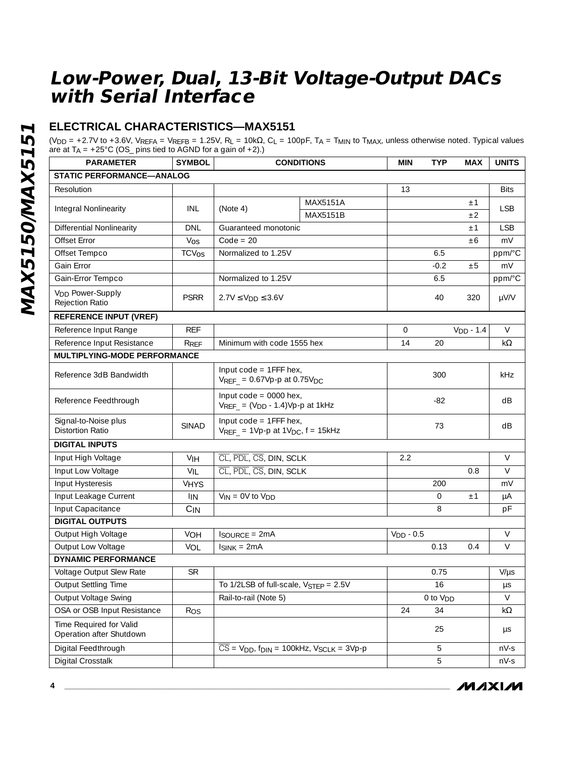### **ELECTRICAL CHARACTERISTICS—MAX5151**

(VDD = +2.7V to +3.6V, VREFA = VREFB = 1.25V, RL = 10kΩ, CL = 100pF, TA = TMIN to TMAX, unless otherwise noted. Typical values are at  $T_A = +25^{\circ}$ C (OS\_ pins tied to AGND for a gain of  $+2$ ).)

| <b>PARAMETER</b>                                      | <b>SYMBOL</b>           | <b>CONDITIONS</b>                                                                        |          | <b>MIN</b>     | <b>TYP</b>           | <b>MAX</b>  | <b>UNITS</b> |
|-------------------------------------------------------|-------------------------|------------------------------------------------------------------------------------------|----------|----------------|----------------------|-------------|--------------|
| <b>STATIC PERFORMANCE-ANALOG</b>                      |                         |                                                                                          |          |                |                      |             |              |
| Resolution                                            |                         |                                                                                          |          | 13             |                      |             | <b>Bits</b>  |
|                                                       |                         |                                                                                          | MAX5151A |                |                      | ±1          |              |
| Integral Nonlinearity                                 | INL                     | (Note 4)                                                                                 | MAX5151B |                |                      |             | <b>LSB</b>   |
| <b>Differential Nonlinearity</b>                      | <b>DNL</b>              | Guaranteed monotonic                                                                     |          |                |                      | ±1          | <b>LSB</b>   |
| Offset Error                                          | Vos                     | $Code = 20$                                                                              |          |                |                      | ±6          | mV           |
| Offset Tempco                                         | <b>TCV<sub>OS</sub></b> | Normalized to 1.25V                                                                      |          |                | 6.5                  |             | ppm/°C       |
| Gain Error                                            |                         |                                                                                          |          |                | $-0.2$               | ±5          | mV           |
| Gain-Error Tempco                                     |                         | Normalized to 1.25V                                                                      |          |                | 6.5                  |             | ppm/°C       |
| <b>V<sub>DD</sub></b> Power-Supply<br>Rejection Ratio | <b>PSRR</b>             | $2.7V \le V_{DD} \le 3.6V$                                                               |          |                | 40                   | 320         | µV/V         |
| <b>REFERENCE INPUT (VREF)</b>                         |                         |                                                                                          |          |                |                      |             |              |
| Reference Input Range                                 | <b>REF</b>              |                                                                                          |          | $\overline{0}$ |                      | $VDD - 1.4$ | $\vee$       |
| Reference Input Resistance                            | RRFF                    | Minimum with code 1555 hex                                                               |          | 14             | 20                   |             | k $\Omega$   |
| MULTIPLYING-MODE PERFORMANCE                          |                         |                                                                                          |          |                |                      |             |              |
| Reference 3dB Bandwidth                               |                         | Input code = 1FFF hex,<br>$V_{REF}$ = 0.67Vp-p at 0.75V <sub>DC</sub>                    |          |                | 300                  |             | kHz          |
| Reference Feedthrough                                 |                         | Input $code = 0000$ hex,<br>$V_{REF} = (V_{DD} - 1.4)Vp$ -p at 1kHz                      |          |                | $-82$                |             | dB           |
| Signal-to-Noise plus<br><b>Distortion Ratio</b>       | <b>SINAD</b>            | Input code = 1FFF hex,<br>$V_{REF}$ = 1Vp-p at 1V <sub>DC</sub> , $f = 15kHz$            |          |                | 73                   |             | dB           |
| <b>DIGITAL INPUTS</b>                                 |                         |                                                                                          |          |                |                      |             |              |
| Input High Voltage                                    | <b>VIH</b>              | CL, PDL, CS, DIN, SCLK                                                                   |          | 2.2            |                      |             | V            |
| Input Low Voltage                                     | VIL                     | CL, PDL, CS, DIN, SCLK                                                                   |          |                |                      | 0.8         | $\vee$       |
| Input Hysteresis                                      | <b>VHYS</b>             |                                                                                          |          |                | 200                  |             | mV           |
| Input Leakage Current                                 | <b>IIN</b>              | $V_{IN} = 0V$ to $V_{DD}$                                                                |          |                | $\mathbf{O}$         | ±1          | μA           |
| Input Capacitance                                     | $C_{IN}$                |                                                                                          |          |                | 8                    |             | pF           |
| <b>DIGITAL OUTPUTS</b>                                |                         |                                                                                          |          |                |                      |             |              |
| Output High Voltage                                   | <b>VOH</b>              | $I_{\text{SOURCE}} = 2mA$                                                                |          | $VDD - 0.5$    |                      |             | $\vee$       |
| Output Low Voltage                                    | VOL                     | $I_{SINK} = 2mA$                                                                         |          |                | 0.13                 | 0.4         | V            |
| <b>DYNAMIC PERFORMANCE</b>                            |                         |                                                                                          |          |                |                      |             |              |
| Voltage Output Slew Rate                              | <b>SR</b>               |                                                                                          |          |                | 0.75                 |             | $V/\mu s$    |
| Output Settling Time                                  |                         | To $1/2LSB$ of full-scale, $V_{STEP} = 2.5V$                                             |          |                | $\overline{16}$      |             | μs           |
| Output Voltage Swing                                  |                         | Rail-to-rail (Note 5)                                                                    |          |                | 0 to V <sub>DD</sub> |             | $\vee$       |
| OSA or OSB Input Resistance                           | Ros                     |                                                                                          |          | 24             | 34                   |             | $k\Omega$    |
| Time Required for Valid<br>Operation after Shutdown   |                         |                                                                                          |          |                | 25                   |             | $\mu s$      |
| Digital Feedthrough                                   |                         | $\overline{CS}$ = V <sub>DD</sub> , f <sub>DIN</sub> = 100kHz, V <sub>SCLK</sub> = 3Vp-p |          |                | 5                    |             | $nV-S$       |
| Digital Crosstalk                                     |                         |                                                                                          |          |                | 5                    |             | $nV-S$       |

**MAXIM**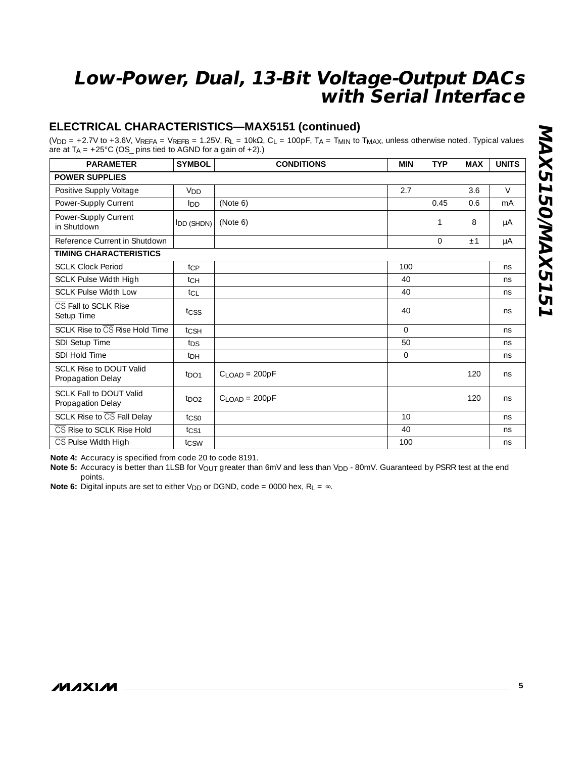### **ELECTRICAL CHARACTERISTICS—MAX5151 (continued)**

(VDD = +2.7V to +3.6V, VREFA = VREFB = 1.25V, RL = 10kΩ, CL = 100pF, TA = TMIN to TMAX, unless otherwise noted. Typical values are at  $T_A = +25^{\circ}C$  (OS\_ pins tied to AGND for a gain of  $+2$ ).)

| <b>PARAMETER</b>                                    | <b>SYMBOL</b>      | <b>CONDITIONS</b>           | <b>MIN</b>   | <b>TYP</b> | <b>MAX</b> | <b>UNITS</b> |
|-----------------------------------------------------|--------------------|-----------------------------|--------------|------------|------------|--------------|
| <b>POWER SUPPLIES</b>                               |                    |                             |              |            |            |              |
| Positive Supply Voltage                             | V <sub>DD</sub>    |                             | 2.7          |            | 3.6        | $\vee$       |
| Power-Supply Current                                | Inn                | (Note 6)                    |              | 0.45       | 0.6        | mA           |
| Power-Supply Current<br>in Shutdown                 | <b>I</b> DD (SHDN) | (Note 6)                    |              | 1          | 8          | μA           |
| Reference Current in Shutdown                       |                    |                             |              | 0          | ±1         | μA           |
| <b>TIMING CHARACTERISTICS</b>                       |                    |                             |              |            |            |              |
| <b>SCLK Clock Period</b>                            | tcp                |                             | 100          |            |            | ns           |
| <b>SCLK Pulse Width High</b>                        | tсн                |                             | 40           |            |            | ns           |
| <b>SCLK Pulse Width Low</b>                         | tcL                |                             | 40           |            |            | ns           |
| CS Fall to SCLK Rise<br>Setup Time                  | tcss               |                             | 40           |            |            | ns           |
| SCLK Rise to CS Rise Hold Time                      | tcsh               |                             | $\Omega$     |            |            | ns           |
| SDI Setup Time                                      | t <sub>DS</sub>    |                             | 50           |            |            | ns           |
| SDI Hold Time                                       | t <sub>DH</sub>    |                             | $\mathbf{0}$ |            |            | ns           |
| <b>SCLK Rise to DOUT Valid</b><br>Propagation Delay | $t_{\text{DO1}}$   | $CLOAD = 200pF$             |              |            | 120        | ns           |
| <b>SCLK Fall to DOUT Valid</b><br>Propagation Delay | $t_{\text{DO2}}$   | $C$ <sub>LOAD</sub> = 200pF |              |            | 120        | ns           |
| SCLK Rise to CS Fall Delay                          | tcso               |                             | 10           |            |            | ns           |
| CS Rise to SCLK Rise Hold                           | t <sub>CS1</sub>   |                             | 40           |            |            | ns           |
| CS Pulse Width High                                 | tcsw               |                             | 100          |            |            | ns           |

**Note 4:** Accuracy is specified from code 20 to code 8191.

Note 5: Accuracy is better than 1LSB for V<sub>OUT</sub> greater than 6mV and less than V<sub>DD</sub> - 80mV. Guaranteed by PSRR test at the end points.

**Note 6:** Digital inputs are set to either V<sub>DD</sub> or DGND, code = 0000 hex,  $R_L = \infty$ .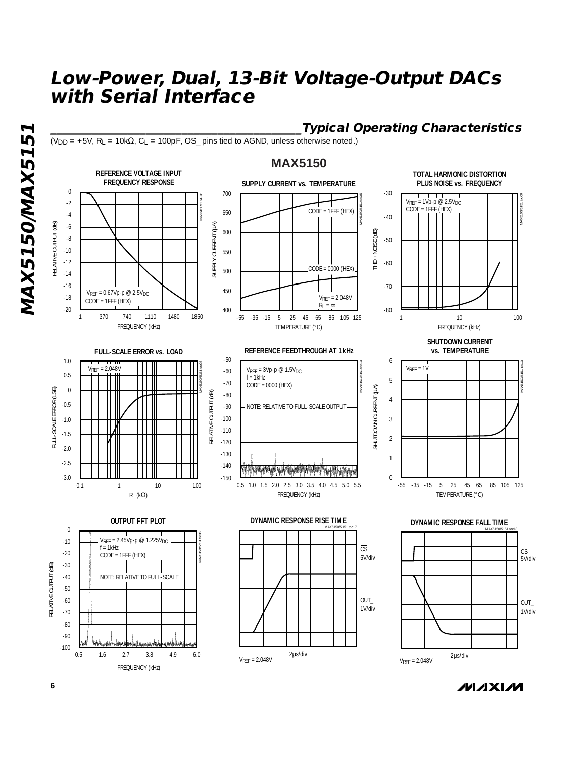**\_\_\_\_\_\_\_\_\_\_\_\_\_\_\_\_\_\_\_\_\_\_\_\_\_\_\_\_\_\_\_\_\_\_\_\_\_\_\_\_\_\_Typical Operating Characteristics**  $(V_{DD} = +5V$ ,  $R_L = 10k\Omega$ ,  $C_L = 100pF$ ,  $OS_p$  pins tied to AGND, unless otherwise noted.)

### **MAX5150**



*IVI AXI IVI* 

**MAX5150/MAX5151** MAX5150/MAX515

**6 \_\_\_\_\_\_\_\_\_\_\_\_\_\_\_\_\_\_\_\_\_\_\_\_\_\_\_\_\_\_\_\_\_\_\_\_\_\_\_\_\_\_\_\_\_\_\_\_\_\_\_\_\_\_\_\_\_\_\_\_\_\_\_\_\_\_\_\_\_\_\_\_\_\_\_\_\_\_\_\_\_\_\_\_\_\_\_**

FREQUENCY (kHz)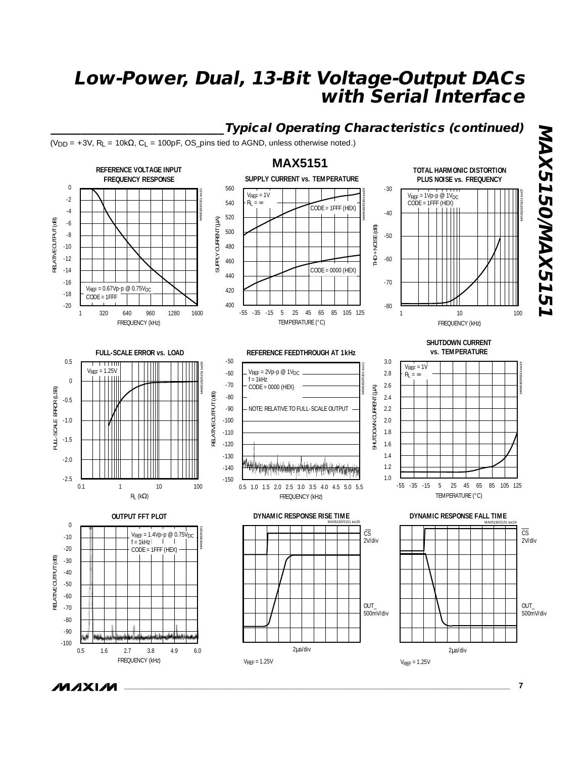

**MAXIM** 

**\_\_\_\_\_\_\_\_\_\_\_\_\_\_\_\_\_\_\_\_\_\_\_\_\_\_\_\_\_\_\_\_\_\_\_\_\_\_\_\_\_\_\_\_\_\_\_\_\_\_\_\_\_\_\_\_\_\_\_\_\_\_\_\_\_\_\_\_\_\_\_\_\_\_\_\_\_\_\_\_\_\_\_\_\_\_\_ 7**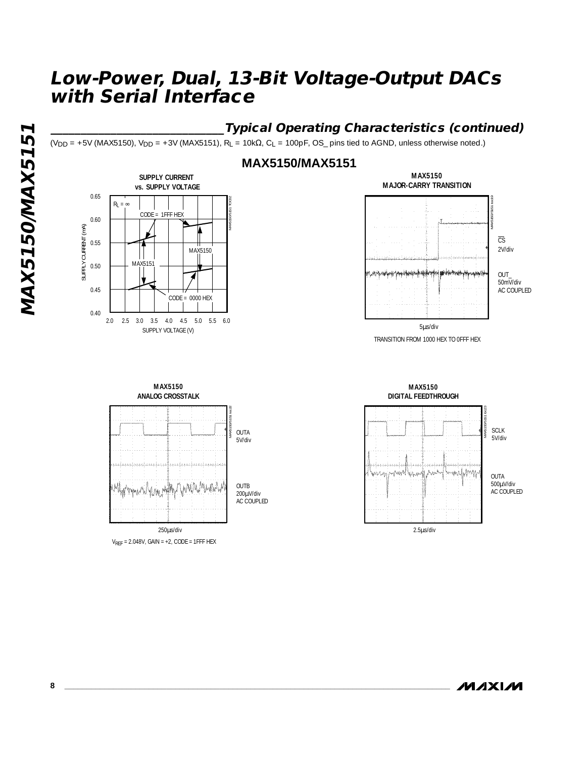### **\_\_\_\_\_\_\_\_\_\_\_\_\_\_\_\_\_\_\_\_\_\_\_\_\_\_\_\_\_Typical Operating Characteristics (continued)**

 $(V_{DD} = +5V$  (MAX5150),  $V_{DD} = +3V$  (MAX5151), R<sub>L</sub> = 10k $\Omega$ , C<sub>L</sub> = 100pF, OS\_ pins tied to AGND, unless otherwise noted.)



### **MAX5150/MAX5151**



TRANSITION FROM 1000 HEX TO 0FFF HEX



 $V_{REF} = 2.048V$ , GAIN = +2, CODE = 1FFF HEX



**MAXIM**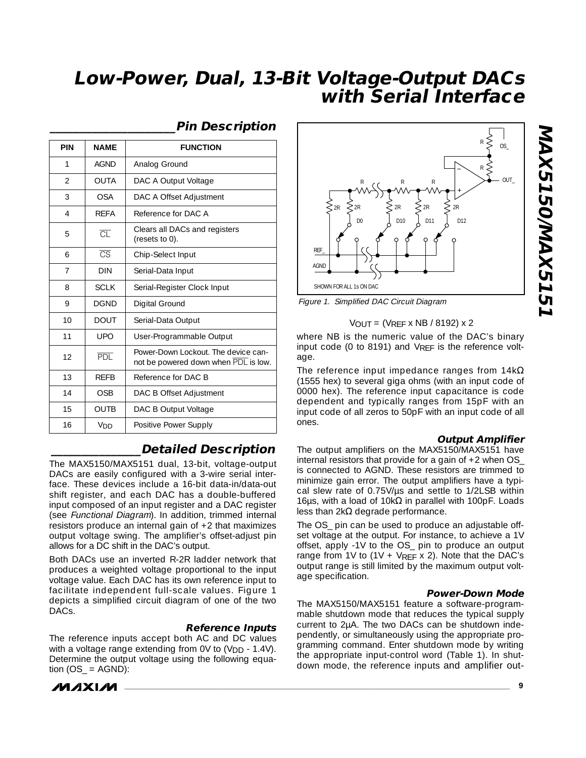| <b>PIN</b>               | <b>NAME</b>            | <b>FUNCTION</b>                                                             |
|--------------------------|------------------------|-----------------------------------------------------------------------------|
| 1                        | <b>AGND</b>            | Analog Ground                                                               |
| $\overline{\mathcal{L}}$ | <b>OUTA</b>            | DAC A Output Voltage                                                        |
| 3                        | <b>OSA</b>             | DAC A Offset Adjustment                                                     |
| 4                        | <b>RFFA</b>            | Reference for DAC A                                                         |
| 5                        | $\overline{\text{CL}}$ | Clears all DACs and registers<br>(resets to 0).                             |
| 6                        | $\overline{\text{CS}}$ | Chip-Select Input                                                           |
| $\overline{7}$           | <b>DIN</b>             | Serial-Data Input                                                           |
| 8                        | <b>SCLK</b>            | Serial-Register Clock Input                                                 |
| 9                        | <b>DGND</b>            | Digital Ground                                                              |
| 10                       | <b>DOUT</b>            | Serial-Data Output                                                          |
| 11                       | <b>UPO</b>             | User-Programmable Output                                                    |
| 12                       | <b>PDL</b>             | Power-Down Lockout. The device can-<br>not be powered down when PDL is low. |
| 13                       | <b>RFFB</b>            | Reference for DAC B                                                         |
| 14                       | OSB                    | DAC B Offset Adjustment                                                     |
| 15                       | <b>OUTB</b>            | DAC B Output Voltage                                                        |
| 16                       | V <sub>DD</sub>        | Positive Power Supply                                                       |

#### **\_\_\_\_\_\_\_\_\_\_\_\_\_\_\_\_\_\_\_\_\_Pin Description**

### **\_\_\_\_\_\_\_\_\_\_\_\_\_\_\_Detailed Description**

The MAX5150/MAX5151 dual, 13-bit, voltage-output DACs are easily configured with a 3-wire serial interface. These devices include a 16-bit data-in/data-out shift register, and each DAC has a double-buffered input composed of an input register and a DAC register (see Functional Diagram). In addition, trimmed internal resistors produce an internal gain of +2 that maximizes output voltage swing. The amplifier's offset-adjust pin allows for a DC shift in the DAC's output.

Both DACs use an inverted R-2R ladder network that produces a weighted voltage proportional to the input voltage value. Each DAC has its own reference input to facilitate independent full-scale values. Figure 1 depicts a simplified circuit diagram of one of the two DACs.

#### **Reference Inputs**

The reference inputs accept both AC and DC values with a voltage range extending from  $0V$  to  $(V_{DD} - 1.4V)$ . Determine the output voltage using the following equation  $(OS$  = AGND):





Figure 1. Simplified DAC Circuit Diagram

#### $V$ OUT = (VRFF x NB / 8192) x 2

where NB is the numeric value of the DAC's binary input code (0 to 8191) and VREF is the reference voltage.

The reference input impedance ranges from  $14k\Omega$ (1555 hex) to several giga ohms (with an input code of 0000 hex). The reference input capacitance is code dependent and typically ranges from 15pF with an input code of all zeros to 50pF with an input code of all ones.

#### **Output Amplifier**

The output amplifiers on the MAX5150/MAX5151 have internal resistors that provide for a gain of  $+2$  when OS is connected to AGND. These resistors are trimmed to minimize gain error. The output amplifiers have a typical slew rate of 0.75V/us and settle to 1/2LSB within 16μs, with a load of 10kΩ in parallel with 100pF. Loads less than  $2kΩ$  degrade performance.

The OS\_ pin can be used to produce an adjustable offset voltage at the output. For instance, to achieve a 1V offset, apply -1V to the OS\_ pin to produce an output range from 1V to  $(1V + V_{REF} \times 2)$ . Note that the DAC's output range is still limited by the maximum output voltage specification.

#### **Power-Down Mode**

The MAX5150/MAX5151 feature a software-programmable shutdown mode that reduces the typical supply current to 2µA. The two DACs can be shutdown independently, or simultaneously using the appropriate programming command. Enter shutdown mode by writing the appropriate input-control word (Table 1). In shutdown mode, the reference inputs and amplifier out-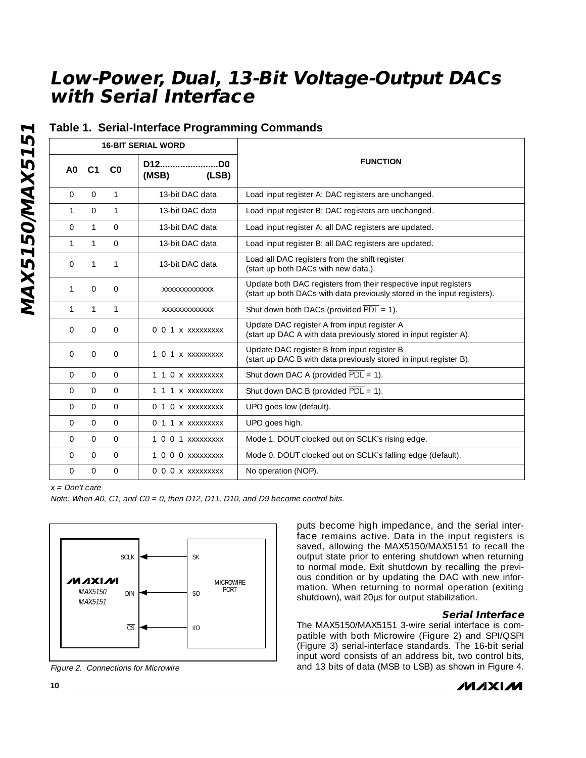### **Table 1. Serial-Interface Programming Commands**

|              | <b>16-BIT SERIAL WORD</b> |                |                                 |                                                                                                                                             |
|--------------|---------------------------|----------------|---------------------------------|---------------------------------------------------------------------------------------------------------------------------------------------|
| A0           | C <sub>1</sub>            | C <sub>0</sub> | D12<br>.DO<br>(MSB)<br>(LSB)    | <b>FUNCTION</b>                                                                                                                             |
| $\mathbf{0}$ | $\overline{0}$            | $\mathbf{1}$   | 13-bit DAC data                 | Load input register A; DAC registers are unchanged.                                                                                         |
| 1            | $\Omega$                  | $\mathbf{1}$   | 13-bit DAC data                 | Load input register B; DAC registers are unchanged.                                                                                         |
| $\Omega$     | $\mathbf{1}$              | $\Omega$       | 13-bit DAC data                 | Load input register A; all DAC registers are updated.                                                                                       |
| 1            | 1                         | $\mathbf 0$    | 13-bit DAC data                 | Load input register B; all DAC registers are updated.                                                                                       |
| 0            | $\mathbf{1}$              | 1              | 13-bit DAC data                 | Load all DAC registers from the shift register<br>(start up both DACs with new data.).                                                      |
| 1            | $\Omega$                  | $\Omega$       | XXXXXXXXXXXXX                   | Update both DAC registers from their respective input registers<br>(start up both DACs with data previously stored in the input registers). |
| $\mathbf{1}$ | $\mathbf{1}$              | $\mathbf{1}$   | XXXXXXXXXXXXX                   | Shut down both DACs (provided $\overline{PDL} = 1$ ).                                                                                       |
| $\Omega$     | $\Omega$                  | $\Omega$       | 0 0 1 x xxxxxxxxx               | Update DAC register A from input register A<br>(start up DAC A with data previously stored in input register A).                            |
| $\Omega$     | $\mathbf{O}$              | $\mathbf{O}$   | 1 <sub>0</sub><br>1 x xxxxxxxxx | Update DAC register B from input register B<br>(start up DAC B with data previously stored in input register B).                            |
| $\Omega$     | $\Omega$                  | $\Omega$       | 1 1 0 x xxxxxxxxx               | Shut down DAC A (provided $\overline{PDL} = 1$ ).                                                                                           |
| $\Omega$     | $\Omega$                  | $\Omega$       | 1 1 1 x xxxxxxxxx               | Shut down DAC B (provided $\overline{PDL} = 1$ ).                                                                                           |
| $\Omega$     | $\Omega$                  | $\Omega$       | 0 1 0 x xxxxxxxxx               | UPO goes low (default).                                                                                                                     |
| $\Omega$     | $\Omega$                  | $\Omega$       | 0 1 1 x xxxxxxxxx               | UPO goes high.                                                                                                                              |
| $\Omega$     | $\Omega$                  | $\Omega$       | $1001$ xxxxxxxxx                | Mode 1, DOUT clocked out on SCLK's rising edge.                                                                                             |
| $\Omega$     | $\mathbf{0}$              | $\mathbf{O}$   | 1 0 0 0 XXXXXXXX                | Mode 0, DOUT clocked out on SCLK's falling edge (default).                                                                                  |
| $\Omega$     | $\Omega$                  | $\mathbf{O}$   | 0 0 0 x xxxxxxxxx               | No operation (NOP).                                                                                                                         |

 $x = Don't care$ 

Note: When A0, C1, and C0 = 0, then D12, D11, D10, and D9 become control bits.



Figure 2. Connections for Microwire

puts become high impedance, and the serial interface remains active. Data in the input registers is saved, allowing the MAX5150/MAX5151 to recall the output state prior to entering shutdown when returning to normal mode. Exit shutdown by recalling the previous condition or by updating the DAC with new information. When returning to normal operation (exiting shutdown), wait 20µs for output stabilization.

#### **Serial Interface**

The MAX5150/MAX5151 3-wire serial interface is compatible with both Microwire (Figure 2) and SPI/QSPI (Figure 3) serial-interface standards. The 16-bit serial input word consists of an address bit, two control bits, and 13 bits of data (MSB to LSB) as shown in Figure 4.

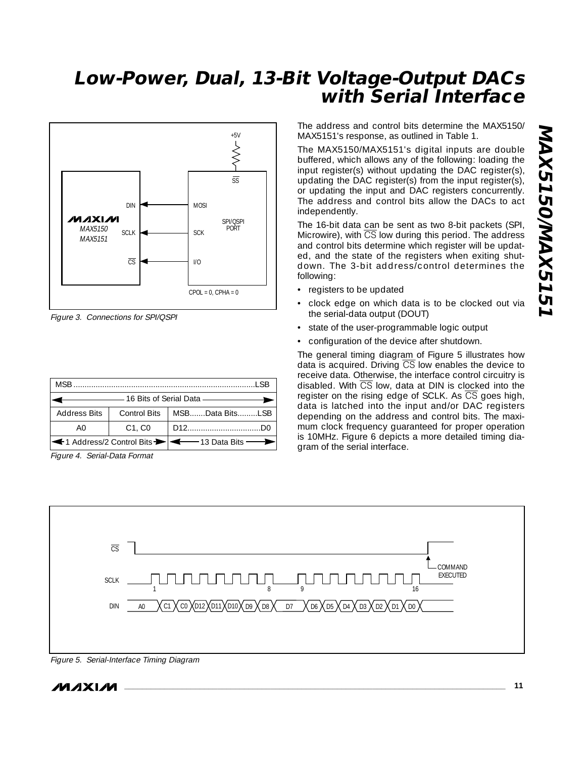

Figure 3. Connections for SPI/QSPI

| T SB                |             |                                                   |  |  |  |  |  |
|---------------------|-------------|---------------------------------------------------|--|--|--|--|--|
|                     |             |                                                   |  |  |  |  |  |
| <b>Address Bits</b> |             | Control Bits   MSBData BitsLSB                    |  |  |  |  |  |
| A0                  | $C1$ . $C0$ |                                                   |  |  |  |  |  |
|                     |             | ← 1 Address/2 Control Bits →   ← 13 Data Bits – 1 |  |  |  |  |  |

Figure 4. Serial-Data Format

The address and control bits determine the MAX5150/ MAX5151's response, as outlined in Table 1.

The MAX5150/MAX5151's digital inputs are double buffered, which allows any of the following: loading the input register(s) without updating the DAC register(s), updating the DAC register(s) from the input register(s), or updating the input and DAC registers concurrently. The address and control bits allow the DACs to act independently.

The 16-bit data can be sent as two 8-bit packets (SPI, Microwire), with  $\overline{\text{CS}}$  low during this period. The address and control bits determine which register will be updated, and the state of the registers when exiting shutdown. The 3-bit address/control determines the following:

- registers to be updated
- clock edge on which data is to be clocked out via the serial-data output (DOUT)
- state of the user-programmable logic output
- configuration of the device after shutdown.

The general timing diagram of Figure 5 illustrates how data is acquired. Driving  $\overline{CS}$  low enables the device to receive data. Otherwise, the interface control circuitry is disabled. With CS low, data at DIN is clocked into the register on the rising edge of SCLK. As  $\overline{CS}$  goes high, data is latched into the input and/or DAC registers depending on the address and control bits. The maximum clock frequency guaranteed for proper operation is 10MHz. Figure 6 depicts a more detailed timing diagram of the serial interface.



Figure 5. Serial-Interface Timing Diagram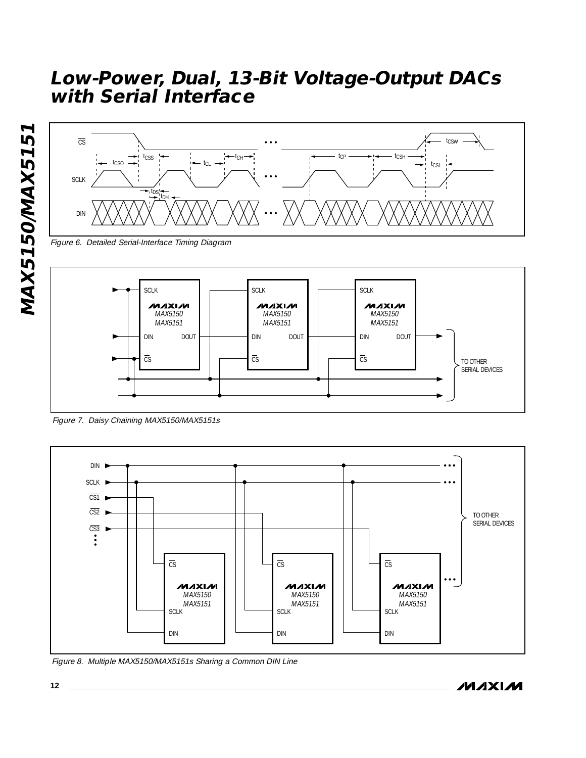

Figure 6. Detailed Serial-Interface Timing Diagram



Figure 7. Daisy Chaining MAX5150/MAX5151s



Figure 8. Multiple MAX5150/MAX5151s Sharing a Common DIN Line

**MAX5150/MAX5151**

MAX5150/MAX5151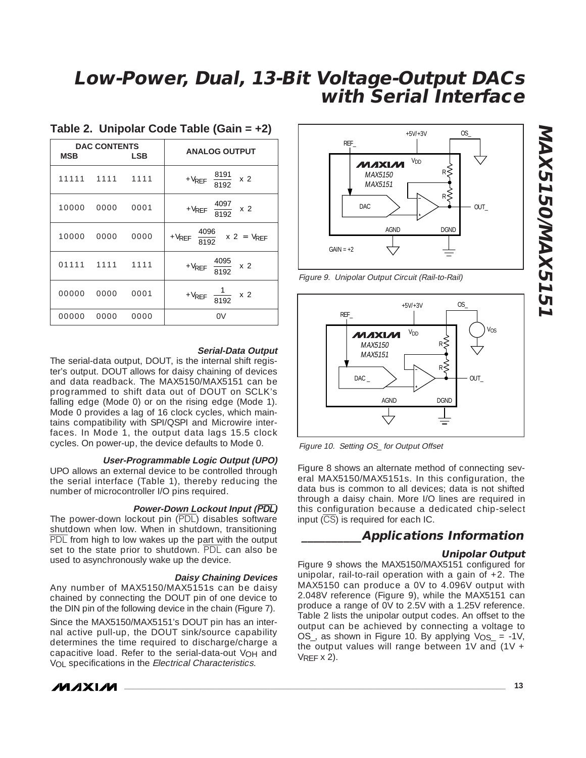| <b>MSB</b> | <b>DAC CONTENTS</b> | LSB  | <b>ANALOG OUTPUT</b>                                         |
|------------|---------------------|------|--------------------------------------------------------------|
|            | 11111 1111 1111     |      | + $V_{REF}$ $\left(\frac{8191}{8192}\right)$ x 2             |
| 10000      | 0000                | 0001 | + $V_{REF}$ $\left(\frac{4097}{8192}\right)$ x 2             |
| 10000      | 0000                | 0000 | + $V_{REF}$ $\left(\frac{4096}{8192}\right)$ x 2 = $V_{REF}$ |
|            | 01111 1111 1111     |      | + $V_{REF}$ $\left(\frac{4095}{8192}\right)$ x 2             |
| 00000      | 0000                | 0001 | + $V_{REF}\left(\frac{1}{8192}\right)$ x 2                   |
| 00000      | 0000                | 0000 | 0V                                                           |

### **Table 2. Unipolar Code Table (Gain = +2)**

#### **Serial-Data Output**

The serial-data output, DOUT, is the internal shift register's output. DOUT allows for daisy chaining of devices and data readback. The MAX5150/MAX5151 can be programmed to shift data out of DOUT on SCLK's falling edge (Mode 0) or on the rising edge (Mode 1). Mode 0 provides a lag of 16 clock cycles, which maintains compatibility with SPI/QSPI and Microwire interfaces. In Mode 1, the output data lags 15.5 clock cycles. On power-up, the device defaults to Mode 0.

#### **User-Programmable Logic Output (UPO)**

UPO allows an external device to be controlled through the serial interface (Table 1), thereby reducing the number of microcontroller I/O pins required.

#### **Power-Down Lockout Input (**PDL**)**

The power-down lockout pin (PDL) disables software shutdown when low. When in shutdown, transitioning PDL from high to low wakes up the part with the output set to the state prior to shutdown. PDL can also be used to asynchronously wake up the device.

#### **Daisy Chaining Devices**

Any number of MAX5150/MAX5151s can be daisy chained by connecting the DOUT pin of one device to the DIN pin of the following device in the chain (Figure 7).

Since the MAX5150/MAX5151's DOUT pin has an internal active pull-up, the DOUT sink/source capability determines the time required to discharge/charge a capacitive load. Refer to the serial-data-out V<sub>OH</sub> and V<sub>OL</sub> specifications in the Electrical Characteristics.





Figure 9. Unipolar Output Circuit (Rail-to-Rail)



Figure 10. Setting OS\_ for Output Offset

Figure 8 shows an alternate method of connecting several MAX5150/MAX5151s. In this configuration, the data bus is common to all devices; data is not shifted through a daisy chain. More I/O lines are required in this configuration because a dedicated chip-select input  $(\overline{CS})$  is required for each IC.

#### **\_\_\_\_\_\_\_\_\_\_Applications Information**

#### **Unipolar Output**

Figure 9 shows the MAX5150/MAX5151 configured for unipolar, rail-to-rail operation with a gain of  $+2$ . The MAX5150 can produce a 0V to 4.096V output with 2.048V reference (Figure 9), while the MAX5151 can produce a range of 0V to 2.5V with a 1.25V reference. Table 2 lists the unipolar output codes. An offset to the output can be achieved by connecting a voltage to OS\_, as shown in Figure 10. By applying  $V_{OS}$  = -1V, the output values will range between 1V and (1V +  $V$ RFF  $\times$  2).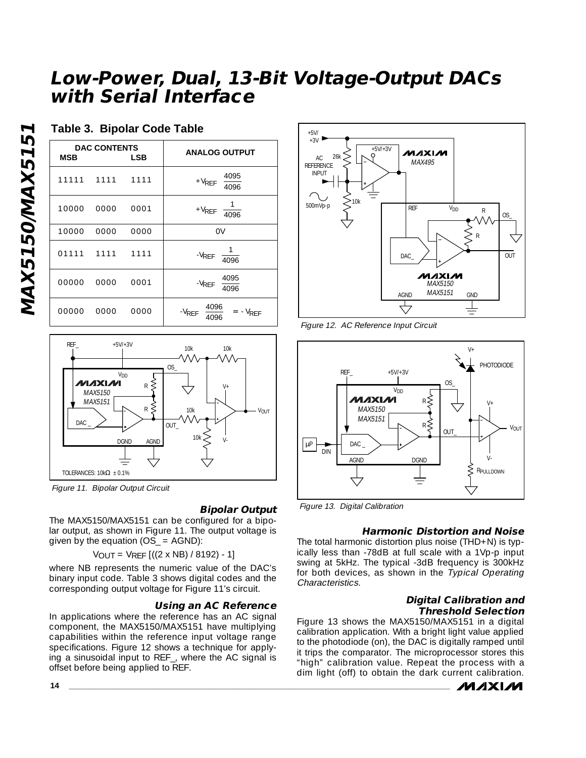### **Table 3. Bipolar Code Table**

| MSB   | <b>DAC CONTENTS</b> | LSB  | <b>ANALOG OUTPUT</b>                                     |
|-------|---------------------|------|----------------------------------------------------------|
|       | 11111 1111 1111     |      | + $V_{REF}$ $\left(\frac{4095}{4096}\right)$             |
| 10000 | 0000                | 0001 | + $V_{REF}$ $\left(\frac{1}{4096}\right)$                |
| 10000 | 0000                | 0000 | 0V                                                       |
|       | 01111 1111 1111     |      | $-V_{REF}\left(\frac{1}{4096}\right)$                    |
| 00000 | 0000                | 0001 | $-V_{REF}$ $\left(\frac{4095}{4096}\right)$              |
| 00000 | 0000                | 0000 | $-V_{REF}$ $\left(\frac{4096}{4096}\right)$ = $-V_{REF}$ |



Figure 11. Bipolar Output Circuit

#### **Bipolar Output**

The MAX5150/MAX5151 can be configured for a bipolar output, as shown in Figure 11. The output voltage is given by the equation (OS\_ = AGND):

VOUT = VREF [((2 x NB) / 8192) - 1]

where NB represents the numeric value of the DAC's binary input code. Table 3 shows digital codes and the corresponding output voltage for Figure 11's circuit.

#### **Using an AC Reference**

In applications where the reference has an AC signal component, the MAX5150/MAX5151 have multiplying capabilities within the reference input voltage range specifications. Figure 12 shows a technique for applying a sinusoidal input to REF\_, where the AC signal is offset before being applied to REF.



Figure 12. AC Reference Input Circuit



Figure 13. Digital Calibration

#### **Harmonic Distortion and Noise**

The total harmonic distortion plus noise (THD+N) is typically less than -78dB at full scale with a 1Vp-p input swing at 5kHz. The typical -3dB frequency is 300kHz for both devices, as shown in the Typical Operating Characteristics.

#### **Digital Calibration and Threshold Selection**

Figure 13 shows the MAX5150/MAX5151 in a digital calibration application. With a bright light value applied to the photodiode (on), the DAC is digitally ramped until it trips the comparator. The microprocessor stores this "high" calibration value. Repeat the process with a dim light (off) to obtain the dark current calibration.



**MAX5150/MAX5151** MAX5150/MAX515

**14 \_\_\_\_\_\_\_\_\_\_\_\_\_\_\_\_\_\_\_\_\_\_\_\_\_\_\_\_\_\_\_\_\_\_\_\_\_\_\_\_\_\_\_\_\_\_\_\_\_\_\_\_\_\_\_\_\_\_\_\_\_\_\_\_\_\_\_\_\_\_\_\_\_\_\_\_\_\_\_\_\_\_\_\_\_\_**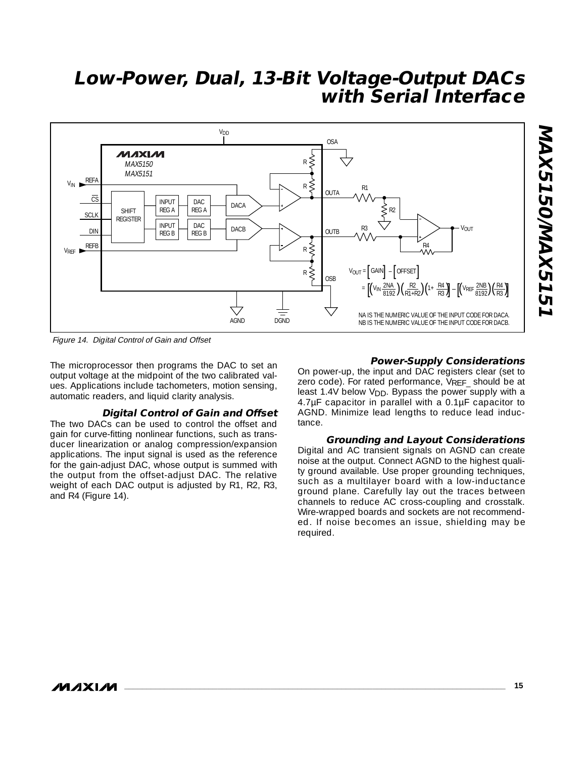

Figure 14. Digital Control of Gain and Offset

The microprocessor then programs the DAC to set an output voltage at the midpoint of the two calibrated values. Applications include tachometers, motion sensing, automatic readers, and liquid clarity analysis.

#### **Digital Control of Gain and Offset**

The two DACs can be used to control the offset and gain for curve-fitting nonlinear functions, such as transducer linearization or analog compression/expansion applications. The input signal is used as the reference for the gain-adjust DAC, whose output is summed with the output from the offset-adjust DAC. The relative weight of each DAC output is adjusted by R1, R2, R3, and R4 (Figure 14).

#### **Power-Supply Considerations**

On power-up, the input and DAC registers clear (set to zero code). For rated performance, VREF should be at least 1.4V below V<sub>DD</sub>. Bypass the power supply with a 4.7µF capacitor in parallel with a 0.1µF capacitor to AGND. Minimize lead lengths to reduce lead inductance.

#### **Grounding and Layout Considerations**

Digital and AC transient signals on AGND can create noise at the output. Connect AGND to the highest quality ground available. Use proper grounding techniques, such as a multilayer board with a low-inductance ground plane. Carefully lay out the traces between channels to reduce AC cross-coupling and crosstalk. Wire-wrapped boards and sockets are not recommended. If noise becomes an issue, shielding may be required.

**MAXM**